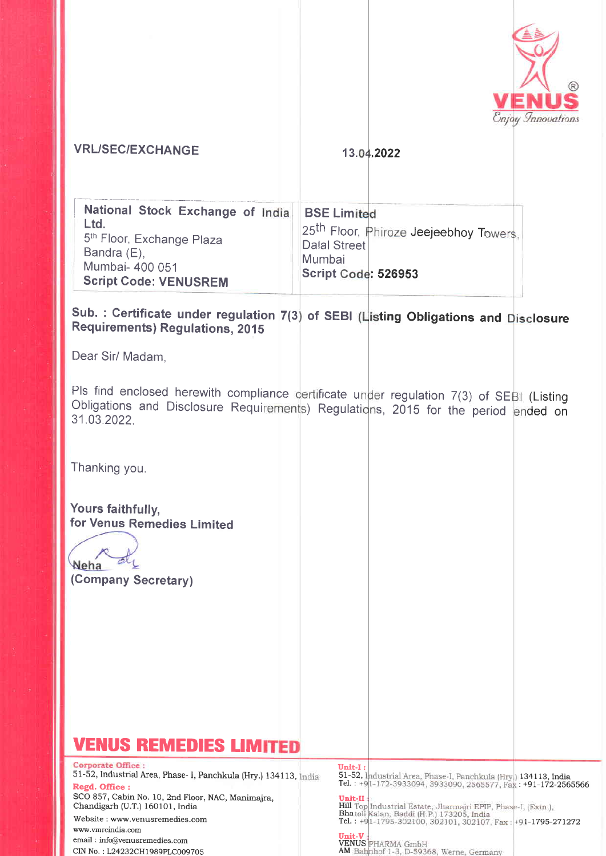

### **VRL/SEC/EXCHANGE**

#### 13.04.2022

# Sub. : Certificate under regulation 7(3) of SEBI (Listing Obligations and Disclosure Requirements) Regulations, 2015

Dear Sir/ Madam.

Pls find enclosed herewith compliance certificate under regulation 7(3) of SEBI (Listing Obligations and Disclosure Requirements) Regulations, 2015 for the period ended on 31.03.2022.

Thanking you.

Yours faithfully, for Venus Remedies Limited

Neha (Company Secretary)

# **VENUS REMEDIES LIMITED**

Corporate Office: 51-52, Industrial Area, Phase- I, Panchkula (Hry.) 134113, India Regd. Office:

SCO 857, Cabin No. 10, 2nd Floor, NAC, Manimajra, Chandigarh (U.T.) 160101, India

Website: www.venusremedies.com www.vmrcindia.com email: info@venusremedies.com CIN No.: L24232CH1989PLC009705

**Unit-I :**<br>51-52, Industrial Area, Phase-I, Panchkula (Hry.) 134113, India<br>Tel. : +9|1-172-3933094, 3933090, 2565577, Fax : +91-172-2565566 Unit-II

**Hill Top Industrial Estate, Jharmajri EPIP, Phase-I, (Extn.),<br>Bhatoli Kalan, Baddi (H.P.) 173205, India<br>Tel. : +9[1-1795-302100, 302101, 302107, Fax : +91-1795-271272** 

**Unit-V :**<br>VENUS PHARMA GmbH<br>AM Bahnhof 1-3, D-59368, Werne, Germany